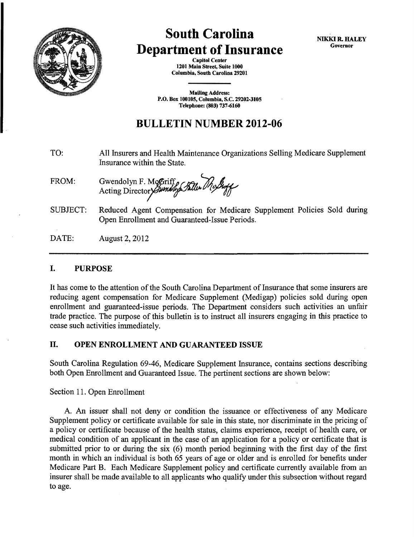

# **South Carolina Department of Insurance**

Capitol Center 1201 Main Street, Suite 1000 Columbia, South Carolina 29201

**Mailing Address:** P.O. Box 100105, Columbia, S.C. 29202-3105 Telephone: (803) 737-6160

# **BULLETIN NUMBER 2012-06**

- TO: All Insurers and Health Maintenance Organizations Selling Medicare Supplement Insurance within the State.
- FROM: Gwendolyn F. McGriff, Eller Mc*Guff*
- SUBJECT: Reduced Agent Compensation for Medicare Supplement Policies Sold during Open Enrollment and Guaranteed-Issue Periods.

DATE: August 2, 2012

# I. PURPOSE

It has come to the attention of the South Carolina Department of Insurance that some insurers are reducing agent compensation for Medicare Supplement (Medigap) policies sold during open enrollment and guaranteed-issue periods. The Department considers such activities an unfair trade practice. The purpose of this bulletin is to instruct all insurers engaging in this practice to cease such activities immediately.

# II. OPEN ENROLLMENT AND GUARANTEED ISSUE

South Carolina Regulation 69-46, Medicare Supplement Insurance, contains sections describing both Open Enrollment and Guaranteed Issue. The pertinent sections are shown below:

Section 11. Open Enrollment

A. An issuer shall not deny or condition the issuance or effectiveness of any Medicare Supplement policy or certificate available for sale in this state, nor discriminate in the pricing of a policy or certificate because of the health status, claims experience, receipt of health care, or medical condition of an applicant in the case of an application for a policy or certificate that is submitted prior to or during the six (6) month period beginning with the first day of the first month in which an individual is both 65 years of age or older and is enrolled for benefits under Medicare Part B. Each Medicare Supplement policy and certificate currently available from an insurer shall be made available to all applicants who qualify under this subsection without regard to age.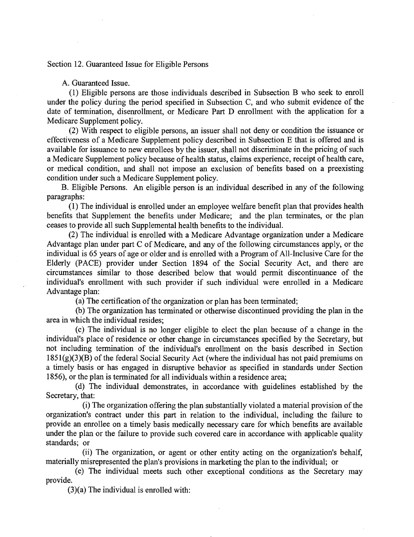#### Section 12. Guaranteed Issue for Eligible Persons

#### A. Guaranteed Issue.

(1) Eligible persons are those individuals described in Subsection B who seek to enroll under the policy during the period specified in Subsection C, and who submit evidence of the date of termination, disenrollment, or Medicare Part D enrollment with the application for a Medicare Supplement policy.

(2) With respect to eligible persons, an issuer shall not deny or condition the issuance or effectiveness of a Medicare Supplement policy described in Subsection E that is offered and is available for issuance to new enrollees by the issuer, shall not discriminate in the pricing of such a Medicare Supplement policy because of health status, claims experience, receipt of health care, or medical condition, and shall not impose an exclusion of benefits based on a preexisting condition under such a Medicare Supplement policy.

B. Eligible Persons. An eligible person is an individual described in any of the following paragraphs:

(1) The individual is enrolled under an employee welfare benefit plan that provides health benefits that Supplement the benefits under Medicare; and the plan terminates, or the plan ceases to provide all such Supplemental health benefits to the individual.

(2) The individual is enrolled with a Medicare Advantage organization under a Medicare Advantage plan under part C of Medicare, and any of the following circumstances apply, or the individual is 65 years of age or older and is enrolled with a Program of All-Inclusive Care for the Elderly (PACE) provider under Section 1894 of the Social Security Act, and there are circumstances similar to those described below that would permit discontinuance of the individual's enrollment with such provider if such individual were enrolled in a Medicare Advantage plan:

(a) The certification of the organization or plan has been terminated;

(b) The organization has terminated or otherwise discontinued providing the plan in the area in which the individual resides;

(c) The individual is no longer eligible to elect the plan because of a change in the individual's place of residence or other change in circumstances specified by the Secretary, but not including termination of the individual's enrollment on the basis described in Section 1851(g)(3)(B) of the federal Social Security Act (where the individual has not paid premiums on a timely basis or has engaged in disruptive behavior as specified in standards under Section 1856), or the plan is terminated for all individuals within a residence area;

(d) The individual demonstrates, in accordance with guidelines established by the Secretary, that:

(i) The organization offering the plan substantially violated a material provision of the organization's contract under this part in relation to the individual, including the failure to provide an enrollee on a timely basis medically necessary care for which benefits are available under the plan or the failure to provide such covered care in accordance with applicable quality standards; or

(ii) The organization, or agent or other entity acting on the organization's behalf, materially misrepresented the plan's provisions in marketing the plan to the indivitlual; or

(e) The individual meets such other exceptional conditions as the Secretary may provide.

(3)(a) The individual is enrolled with: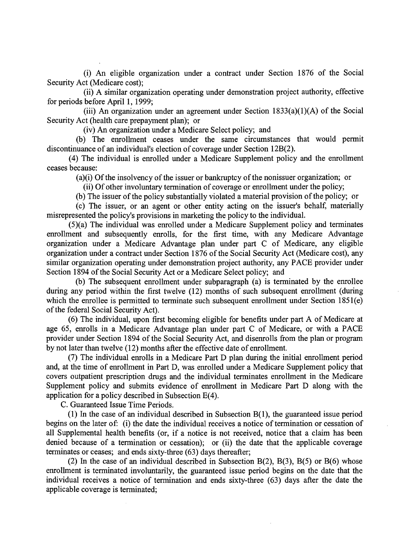(i) An eligible organization under a contract under Section 1876 of the Social Security Act (Medicare cost);

(ii) A similar organization operating under demonstration project authority, effective for periods before April 1, 1999;

(iii) An organization under an agreement under Section  $1833(a)(1)(A)$  of the Social Security Act (health care prepayment plan); or

(iv) An organization under a Medicare Select policy; and

(b) The enrollment ceases under the same circumstances that would permit discontinuance of an individual's election of coverage under Section 12B(2).

( 4) The individual is enrolled under a Medicare Supplement policy and the enrollment ceases because:

(a)(i) Of the insolvency of the issuer or bankruptcy of the nonissuer organization; or

(ii) Of other involuntary termination of coverage or enrollment under the policy;

(b) The issuer of the policy substantially violated a material provision of the policy; or

(c) The issuer, or an agent or other entity acting on the issuer's behalf, materially misrepresented the policy's provisions in marketing the policy to the individual.

(5)(a) The individual was enrolled under a Medicare Supplement policy and terminates enrollment and subsequently enrolls, for the first time, with any Medicare Advantage organization under a Medicare Advantage plan under part C of Medicare, any eligible organization under a contract under Section 1876 of the Social Security Act (Medicare cost), any similar organization operating under demonstration project authority, any PACE provider under Section 1894 of the Social Security Act or a Medicare Select policy; and

(b) The subsequent enrollment under subparagraph (a) is terminated by the enrollee during any period within the first twelve (12) months of such subsequent enrollment (during which the enrollee is permitted to terminate such subsequent enrollment under Section 1851(e) of the federal Social Security Act).

(6) The individual, upon first becoming eligible for benefits under part A of Medicare at age 65, enrolls in a Medicare Advantage plan under part C of Medicare, or with a PACE provider under Section 1894 of the Social Security Act, and disenrolls from the plan or program by not later than twelve (12) months after the effective date of enrollment.

(7) The individual enrolls in a Medicare Part D plan during the initial enrollment period and, at the time of enrollment in Part D, was enrolled under a Medicare Supplement policy that covers outpatient prescription drugs and the individual terminates enrollment in the Medicare Supplement policy and submits evidence of enrollment in Medicare Part D along with the application for a policy described in Subsection E(4).

C. Guaranteed Issue Time Periods.

(1) In the case of an individual described in Subsection B(1), the guaranteed issue period begins on the later of: (i) the date the individual receives a notice of termination or cessation of all Supplemental health benefits (or, if a notice is not received, notice that a claim has been denied because of a termination or cessation); or (ii) the date that the applicable coverage terminates or ceases; and ends sixty-three (63) days thereafter;

(2) In the case of an individual described in Subsection B(2), B(3), B(5) or B(6) whose enrollment is terminated involuntarily, the guaranteed issue period begins on the date that the individual receives a notice of termination and ends sixty-three (63) days after the date the applicable coverage is terminated;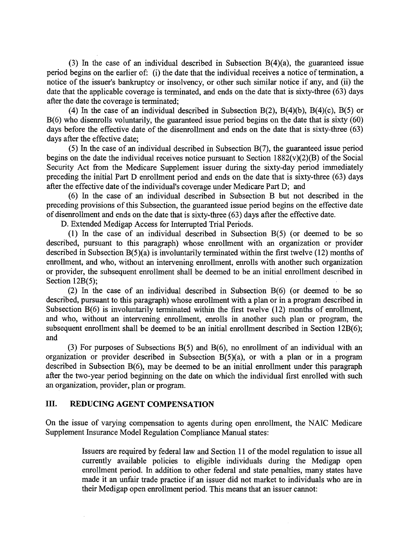(3) In the case of an individual described in Subsection B(4)(a), the guaranteed issue period begins on the earlier of: (i) the date that the individual receives a notice of termination, a notice of the issuer's bankruptcy or insolvency, or other such similar notice if any, and (ii) the date that the applicable coverage is terminated, and ends on the date that is sixty-three (63) days after the date the coverage is terminated;

(4) In the case of an individual described in Subsection B(2), B(4)(b), B(4)(c), B(5) or B(6) who disenrolls voluntarily, the guaranteed issue period begins on the date that is sixty (60) days before the effective date of the disenrollment and ends on the date that is sixty-three (63) days after the effective date;

(5) In the case of an individual described in Subsection B(7), the guaranteed issue period begins on the date the individual receives notice pursuant to Section  $1882(v)(2)(B)$  of the Social Security Act from the Medicare Supplement issuer during the sixty-day period immediately preceding the initial Part D enrollment period and ends on the date that is sixty-three (63) days after the effective date of the individual's coverage under Medicare Part D; and

(6) In the case of an individual described in Subsection B but not described in the preceding provisions of this Subsection, the guaranteed issue period begins on the effective date of disenrollment and ends on the date that is sixty-three (63) days after the effective date.

D. Extended Medigap Access for Interrupted Trial Periods.

(1) In the case of an individual described in Subsection B(5) (or deemed to be so described, pursuant to this paragraph) whose enrollment with an organization or provider described in Subsection B(5)(a) is involuntarily terminated within the first twelve (12) months of enrollment, and who, without an intervening enrollment, enrolls with another such organization or provider, the subsequent enrollment shall be deemed to be an initial enrollment described in Section 12B(5):

(2) In the case of an individual described in Subsection B(6) (or deemed to be so described, pursuant to this paragraph) whose enrollment with a plan or in a program described in Subsection B(6) is involuntarily terminated within the first twelve (12) months of enrollment, and who, without an intervening enrollment, enrolls in another such plan or program, the subsequent enrollment shall be deemed to be an initial enrollment described in Section 12B(6); and

(3) For purposes of Subsections B(5) and B(6), no enrollment of an individual with an organization or provider described in Subsection B(5)(a), or with a plan or in a program described in Subsection B(6), may be deemed to be an initial enrollment under this paragraph after the two-year period beginning on the date on which the individual first enrolled with such an organization, provider, plan or program.

### III. **REDUCING AGENT COMPENSATION**

On the issue of varying compensation to agents during open enrollment, the NAIC Medicare Supplement Insurance Model Regulation Compliance Manual states:

> Issuers are required by federal law and Section 11 of the model regulation to issue all currently available policies to eligible individuals during the Medigap open enrollment period. In addition to other federal and state penalties, many states have made it an unfair trade practice if an issuer did not market to individuals who are in their Medigap open enrollment period. This means that an issuer cannot: